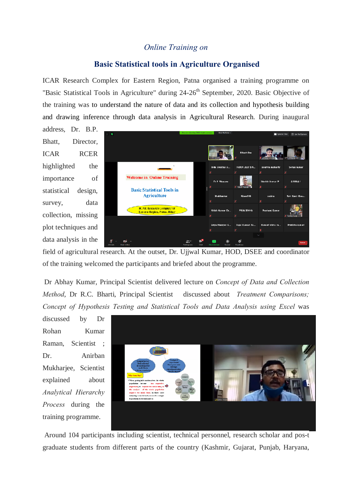## *Online Training on*

## **Basic Statistical tools in Agriculture Organised**

ICAR Research Complex for Eastern Region, Patna organised a training programme on "Basic Statistical Tools in Agriculture" during 24-26<sup>th</sup> September, 2020. Basic Objective of the training was to understand the nature of data and its collection and hypothesis building and drawing inference through data analysis in Agricultural Research. During inaugural

address, Dr. B.P. Bhatt, Director, ICAR RCER highlighted the importance of statistical design, survey, data collection, missing plot techniques and data analysis in the



field of agricultural research. At the outset, Dr. Ujjwal Kumar, HOD, DSEE and coordinator of the training welcomed the participants and briefed about the programme.

Dr Abhay Kumar, Principal Scientist delivered lecture on *Concept of Data and Collection Method*, Dr R.C. Bharti, Principal Scientist discussed about *Treatment Comparisons; Concept of Hypothesis Testing and Statistical Tools and Data Analysis using Excel* was

discussed by Dr Rohan Kumar Raman, Scientist ; Dr. Anirban Mukharjee, Scientist explained about *Analytical Hierarchy Process* during the training programme.



Around 104 participants including scientist, technical personnel, research scholar and pos-t graduate students from different parts of the country (Kashmir, Gujarat, Punjab, Haryana,